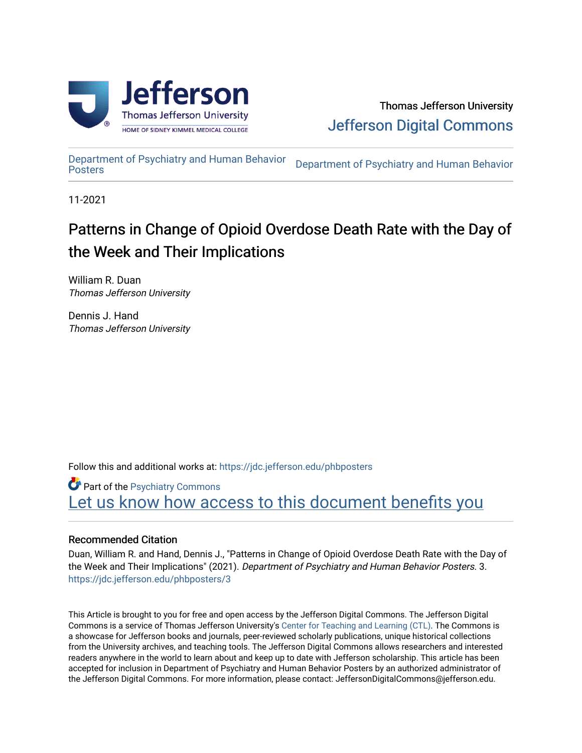

[Department of Psychiatry and Human Behavior](https://jdc.jefferson.edu/phbposters) 

Department of Psychiatry and Human Behavior

11-2021

#### Patterns in Change of Opioid Overdose Death Rate with the Day of the Week and Their Implications

William R. Duan Thomas Jefferson University

Dennis J. Hand Thomas Jefferson University

Follow this and additional works at: [https://jdc.jefferson.edu/phbposters](https://jdc.jefferson.edu/phbposters?utm_source=jdc.jefferson.edu%2Fphbposters%2F3&utm_medium=PDF&utm_campaign=PDFCoverPages)

**Part of the Psychiatry Commons** Let us know how access to this document benefits you

#### Recommended Citation

Duan, William R. and Hand, Dennis J., "Patterns in Change of Opioid Overdose Death Rate with the Day of the Week and Their Implications" (2021). Department of Psychiatry and Human Behavior Posters. 3. [https://jdc.jefferson.edu/phbposters/3](https://jdc.jefferson.edu/phbposters/3?utm_source=jdc.jefferson.edu%2Fphbposters%2F3&utm_medium=PDF&utm_campaign=PDFCoverPages) 

This Article is brought to you for free and open access by the Jefferson Digital Commons. The Jefferson Digital Commons is a service of Thomas Jefferson University's [Center for Teaching and Learning \(CTL\)](http://www.jefferson.edu/university/teaching-learning.html/). The Commons is a showcase for Jefferson books and journals, peer-reviewed scholarly publications, unique historical collections from the University archives, and teaching tools. The Jefferson Digital Commons allows researchers and interested readers anywhere in the world to learn about and keep up to date with Jefferson scholarship. This article has been accepted for inclusion in Department of Psychiatry and Human Behavior Posters by an authorized administrator of the Jefferson Digital Commons. For more information, please contact: JeffersonDigitalCommons@jefferson.edu.